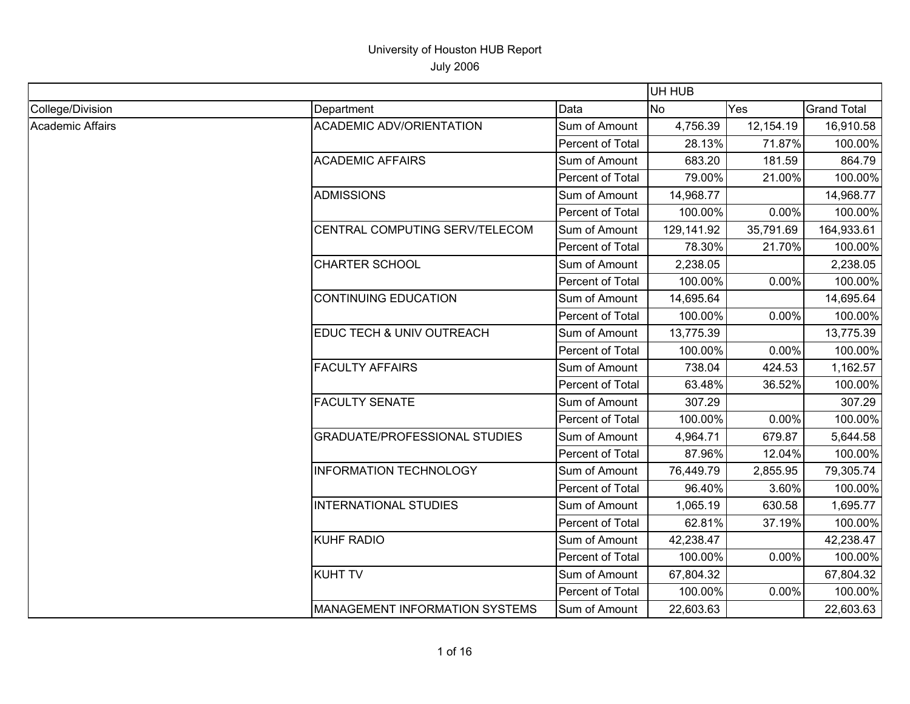|                  |                                       |                  | UH HUB     |           |                    |
|------------------|---------------------------------------|------------------|------------|-----------|--------------------|
| College/Division | Department                            | Data             | <b>No</b>  | Yes       | <b>Grand Total</b> |
| Academic Affairs | <b>ACADEMIC ADV/ORIENTATION</b>       | Sum of Amount    | 4,756.39   | 12,154.19 | 16,910.58          |
|                  |                                       | Percent of Total | 28.13%     | 71.87%    | 100.00%            |
|                  | <b>ACADEMIC AFFAIRS</b>               | Sum of Amount    | 683.20     | 181.59    | 864.79             |
|                  |                                       | Percent of Total | 79.00%     | 21.00%    | 100.00%            |
|                  | <b>ADMISSIONS</b>                     | Sum of Amount    | 14,968.77  |           | 14,968.77          |
|                  |                                       | Percent of Total | 100.00%    | 0.00%     | 100.00%            |
|                  | CENTRAL COMPUTING SERV/TELECOM        | Sum of Amount    | 129,141.92 | 35,791.69 | 164,933.61         |
|                  |                                       | Percent of Total | 78.30%     | 21.70%    | 100.00%            |
|                  | <b>CHARTER SCHOOL</b>                 | Sum of Amount    | 2,238.05   |           | 2,238.05           |
|                  |                                       | Percent of Total | 100.00%    | 0.00%     | 100.00%            |
|                  | <b>CONTINUING EDUCATION</b>           | Sum of Amount    | 14,695.64  |           | 14,695.64          |
|                  |                                       | Percent of Total | 100.00%    | 0.00%     | 100.00%            |
|                  | EDUC TECH & UNIV OUTREACH             | Sum of Amount    | 13,775.39  |           | 13,775.39          |
|                  |                                       | Percent of Total | 100.00%    | 0.00%     | 100.00%            |
|                  | <b>FACULTY AFFAIRS</b>                | Sum of Amount    | 738.04     | 424.53    | 1,162.57           |
|                  |                                       | Percent of Total | 63.48%     | 36.52%    | 100.00%            |
|                  | <b>FACULTY SENATE</b>                 | Sum of Amount    | 307.29     |           | 307.29             |
|                  |                                       | Percent of Total | 100.00%    | 0.00%     | 100.00%            |
|                  | <b>GRADUATE/PROFESSIONAL STUDIES</b>  | Sum of Amount    | 4,964.71   | 679.87    | 5,644.58           |
|                  |                                       | Percent of Total | 87.96%     | 12.04%    | 100.00%            |
|                  | <b>INFORMATION TECHNOLOGY</b>         | Sum of Amount    | 76,449.79  | 2,855.95  | 79,305.74          |
|                  |                                       | Percent of Total | 96.40%     | 3.60%     | 100.00%            |
|                  | <b>INTERNATIONAL STUDIES</b>          | Sum of Amount    | 1,065.19   | 630.58    | 1,695.77           |
|                  |                                       | Percent of Total | 62.81%     | 37.19%    | 100.00%            |
|                  | <b>KUHF RADIO</b>                     | Sum of Amount    | 42,238.47  |           | 42,238.47          |
|                  |                                       | Percent of Total | 100.00%    | 0.00%     | 100.00%            |
|                  | <b>KUHT TV</b>                        | Sum of Amount    | 67,804.32  |           | 67,804.32          |
|                  |                                       | Percent of Total | 100.00%    | 0.00%     | 100.00%            |
|                  | <b>MANAGEMENT INFORMATION SYSTEMS</b> | Sum of Amount    | 22,603.63  |           | 22,603.63          |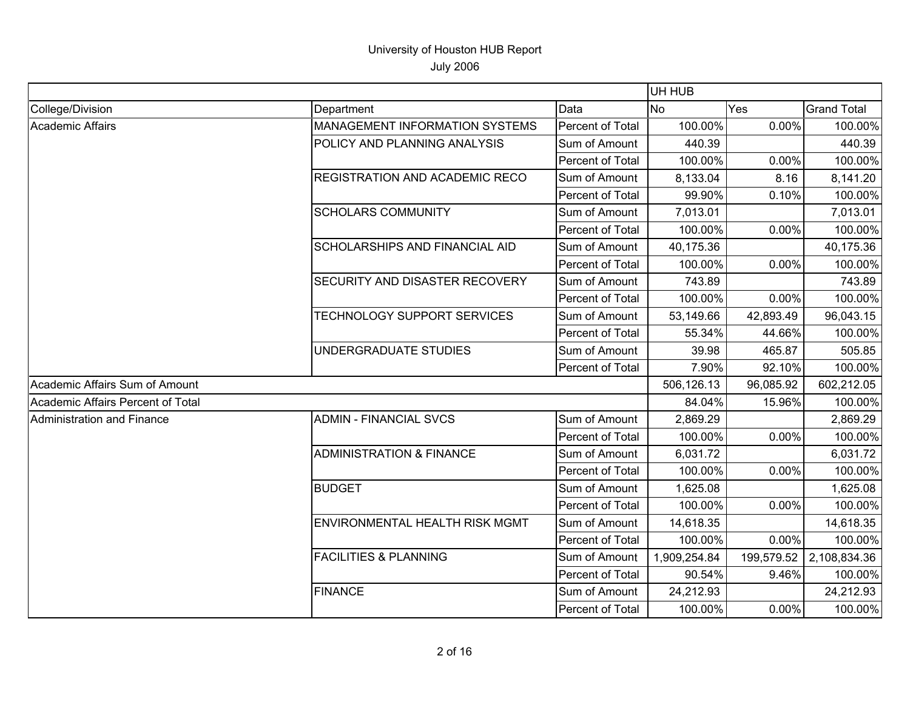|                                   |                                       |                  | UH HUB       |           |                         |
|-----------------------------------|---------------------------------------|------------------|--------------|-----------|-------------------------|
| College/Division                  | Department                            | Data             | <b>No</b>    | Yes       | <b>Grand Total</b>      |
| <b>Academic Affairs</b>           | MANAGEMENT INFORMATION SYSTEMS        | Percent of Total | 100.00%      | 0.00%     | 100.00%                 |
|                                   | POLICY AND PLANNING ANALYSIS          | Sum of Amount    | 440.39       |           | 440.39                  |
|                                   |                                       | Percent of Total | 100.00%      | 0.00%     | 100.00%                 |
|                                   | <b>REGISTRATION AND ACADEMIC RECO</b> | Sum of Amount    | 8,133.04     | 8.16      | 8,141.20                |
|                                   |                                       | Percent of Total | 99.90%       | 0.10%     | 100.00%                 |
|                                   | <b>SCHOLARS COMMUNITY</b>             | Sum of Amount    | 7,013.01     |           | 7,013.01                |
|                                   |                                       | Percent of Total | 100.00%      | 0.00%     | 100.00%                 |
|                                   | <b>SCHOLARSHIPS AND FINANCIAL AID</b> | Sum of Amount    | 40,175.36    |           | 40,175.36               |
|                                   |                                       | Percent of Total | 100.00%      | 0.00%     | 100.00%                 |
|                                   | SECURITY AND DISASTER RECOVERY        | Sum of Amount    | 743.89       |           | 743.89                  |
|                                   |                                       | Percent of Total | 100.00%      | 0.00%     | 100.00%                 |
|                                   | TECHNOLOGY SUPPORT SERVICES           | Sum of Amount    | 53,149.66    | 42,893.49 | 96,043.15               |
|                                   |                                       | Percent of Total | 55.34%       | 44.66%    | 100.00%                 |
|                                   | UNDERGRADUATE STUDIES                 | Sum of Amount    | 39.98        | 465.87    | 505.85                  |
|                                   |                                       | Percent of Total | 7.90%        | 92.10%    | 100.00%                 |
| Academic Affairs Sum of Amount    |                                       |                  | 506,126.13   | 96,085.92 | 602,212.05              |
| Academic Affairs Percent of Total |                                       |                  | 84.04%       | 15.96%    | 100.00%                 |
| Administration and Finance        | <b>ADMIN - FINANCIAL SVCS</b>         | Sum of Amount    | 2,869.29     |           | 2,869.29                |
|                                   |                                       | Percent of Total | 100.00%      | 0.00%     | 100.00%                 |
|                                   | <b>ADMINISTRATION &amp; FINANCE</b>   | Sum of Amount    | 6,031.72     |           | 6,031.72                |
|                                   |                                       | Percent of Total | 100.00%      | 0.00%     | 100.00%                 |
|                                   | <b>BUDGET</b>                         | Sum of Amount    | 1,625.08     |           | 1,625.08                |
|                                   |                                       | Percent of Total | 100.00%      | 0.00%     | 100.00%                 |
|                                   | ENVIRONMENTAL HEALTH RISK MGMT        | Sum of Amount    | 14,618.35    |           | 14,618.35               |
|                                   |                                       | Percent of Total | 100.00%      | 0.00%     | 100.00%                 |
|                                   | <b>FACILITIES &amp; PLANNING</b>      | Sum of Amount    | 1,909,254.84 |           | 199,579.52 2,108,834.36 |
|                                   |                                       | Percent of Total | 90.54%       | 9.46%     | 100.00%                 |
|                                   | <b>FINANCE</b>                        | Sum of Amount    | 24,212.93    |           | 24,212.93               |
|                                   |                                       | Percent of Total | 100.00%      | 0.00%     | 100.00%                 |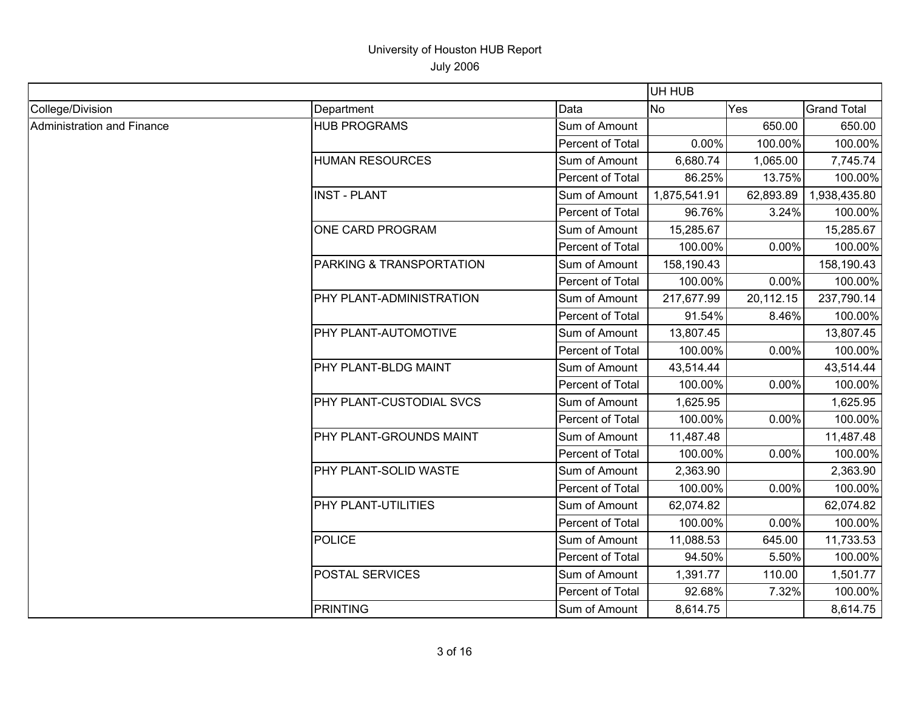|                            |                                 |                  | UH HUB       |           |                    |
|----------------------------|---------------------------------|------------------|--------------|-----------|--------------------|
| College/Division           | Department                      | Data             | No           | Yes       | <b>Grand Total</b> |
| Administration and Finance | <b>HUB PROGRAMS</b>             | Sum of Amount    |              | 650.00    | 650.00             |
|                            |                                 | Percent of Total | 0.00%        | 100.00%   | 100.00%            |
|                            | <b>HUMAN RESOURCES</b>          | Sum of Amount    | 6,680.74     | 1,065.00  | 7,745.74           |
|                            |                                 | Percent of Total | 86.25%       | 13.75%    | 100.00%            |
|                            | <b>INST - PLANT</b>             | Sum of Amount    | 1,875,541.91 | 62,893.89 | 1,938,435.80       |
|                            |                                 | Percent of Total | 96.76%       | 3.24%     | 100.00%            |
|                            | ONE CARD PROGRAM                | Sum of Amount    | 15,285.67    |           | 15,285.67          |
|                            |                                 | Percent of Total | 100.00%      | 0.00%     | 100.00%            |
|                            | PARKING & TRANSPORTATION        | Sum of Amount    | 158,190.43   |           | 158,190.43         |
|                            |                                 | Percent of Total | 100.00%      | 0.00%     | 100.00%            |
|                            | PHY PLANT-ADMINISTRATION        | Sum of Amount    | 217,677.99   | 20,112.15 | 237,790.14         |
|                            |                                 | Percent of Total | 91.54%       | 8.46%     | 100.00%            |
|                            | <b>PHY PLANT-AUTOMOTIVE</b>     | Sum of Amount    | 13,807.45    |           | 13,807.45          |
|                            |                                 | Percent of Total | 100.00%      | 0.00%     | 100.00%            |
|                            | <b>PHY PLANT-BLDG MAINT</b>     | Sum of Amount    | 43,514.44    |           | 43,514.44          |
|                            |                                 | Percent of Total | 100.00%      | 0.00%     | 100.00%            |
|                            | <b>PHY PLANT-CUSTODIAL SVCS</b> | Sum of Amount    | 1,625.95     |           | 1,625.95           |
|                            |                                 | Percent of Total | 100.00%      | 0.00%     | 100.00%            |
|                            | PHY PLANT-GROUNDS MAINT         | Sum of Amount    | 11,487.48    |           | 11,487.48          |
|                            |                                 | Percent of Total | 100.00%      | 0.00%     | 100.00%            |
|                            | <b>PHY PLANT-SOLID WASTE</b>    | Sum of Amount    | 2,363.90     |           | 2,363.90           |
|                            |                                 | Percent of Total | 100.00%      | 0.00%     | 100.00%            |
|                            | <b>PHY PLANT-UTILITIES</b>      | Sum of Amount    | 62,074.82    |           | 62,074.82          |
|                            |                                 | Percent of Total | 100.00%      | 0.00%     | 100.00%            |
|                            | POLICE                          | Sum of Amount    | 11,088.53    | 645.00    | 11,733.53          |
|                            |                                 | Percent of Total | 94.50%       | 5.50%     | 100.00%            |
|                            | <b>POSTAL SERVICES</b>          | Sum of Amount    | 1,391.77     | 110.00    | 1,501.77           |
|                            |                                 | Percent of Total | 92.68%       | 7.32%     | 100.00%            |
|                            | PRINTING                        | Sum of Amount    | 8,614.75     |           | 8,614.75           |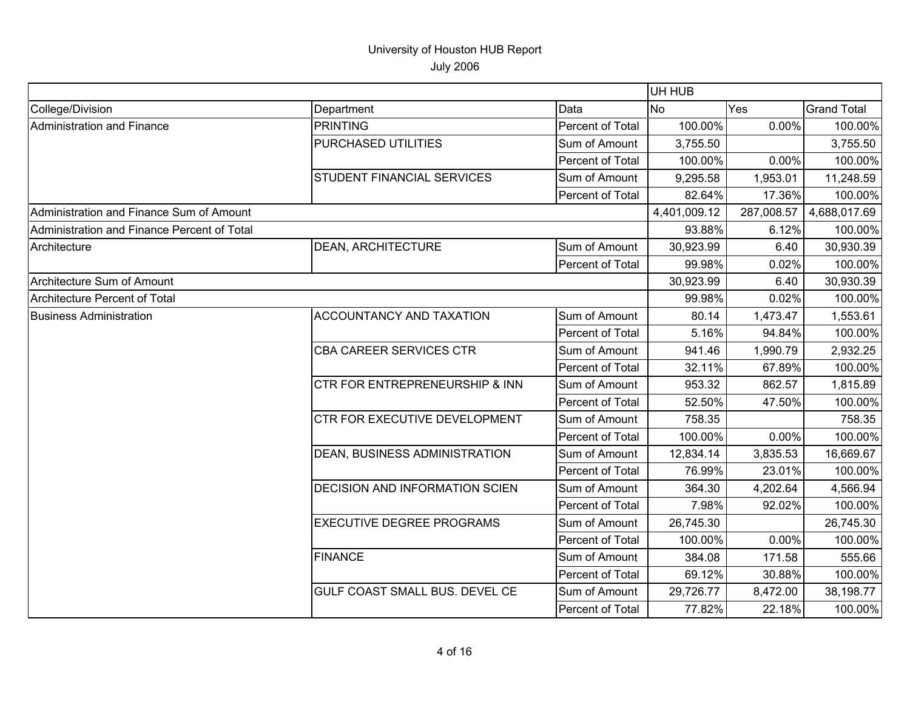|                                             |                                       |                  | UH HUB       |            |                    |
|---------------------------------------------|---------------------------------------|------------------|--------------|------------|--------------------|
| College/Division                            | Department                            | Data             | No.          | Yes        | <b>Grand Total</b> |
| <b>Administration and Finance</b>           | <b>PRINTING</b>                       | Percent of Total | 100.00%      | 0.00%      | 100.00%            |
|                                             | PURCHASED UTILITIES                   | Sum of Amount    | 3,755.50     |            | 3,755.50           |
|                                             |                                       | Percent of Total | 100.00%      | 0.00%      | 100.00%            |
|                                             | <b>STUDENT FINANCIAL SERVICES</b>     | Sum of Amount    | 9,295.58     | 1,953.01   | 11,248.59          |
|                                             |                                       | Percent of Total | 82.64%       | 17.36%     | 100.00%            |
| Administration and Finance Sum of Amount    |                                       |                  | 4,401,009.12 | 287,008.57 | 4,688,017.69       |
| Administration and Finance Percent of Total |                                       |                  | 93.88%       | 6.12%      | 100.00%            |
| Architecture                                | <b>DEAN, ARCHITECTURE</b>             | Sum of Amount    | 30,923.99    | 6.40       | 30,930.39          |
|                                             |                                       | Percent of Total | 99.98%       | 0.02%      | 100.00%            |
| Architecture Sum of Amount                  |                                       |                  | 30,923.99    | 6.40       | 30,930.39          |
| Architecture Percent of Total               |                                       |                  | 99.98%       | 0.02%      | 100.00%            |
| <b>Business Administration</b>              | <b>ACCOUNTANCY AND TAXATION</b>       | Sum of Amount    | 80.14        | 1,473.47   | 1,553.61           |
|                                             |                                       | Percent of Total | 5.16%        | 94.84%     | 100.00%            |
|                                             | CBA CAREER SERVICES CTR               | Sum of Amount    | 941.46       | 1,990.79   | 2,932.25           |
|                                             |                                       | Percent of Total | 32.11%       | 67.89%     | 100.00%            |
|                                             | CTR FOR ENTREPRENEURSHIP & INN        | Sum of Amount    | 953.32       | 862.57     | 1,815.89           |
|                                             |                                       | Percent of Total | 52.50%       | 47.50%     | 100.00%            |
|                                             | <b>CTR FOR EXECUTIVE DEVELOPMENT</b>  | Sum of Amount    | 758.35       |            | 758.35             |
|                                             |                                       | Percent of Total | 100.00%      | 0.00%      | 100.00%            |
|                                             | DEAN, BUSINESS ADMINISTRATION         | Sum of Amount    | 12,834.14    | 3,835.53   | 16,669.67          |
|                                             |                                       | Percent of Total | 76.99%       | 23.01%     | 100.00%            |
|                                             | <b>DECISION AND INFORMATION SCIEN</b> | Sum of Amount    | 364.30       | 4,202.64   | 4,566.94           |
|                                             |                                       | Percent of Total | 7.98%        | 92.02%     | 100.00%            |
|                                             | <b>EXECUTIVE DEGREE PROGRAMS</b>      | Sum of Amount    | 26,745.30    |            | 26,745.30          |
|                                             |                                       | Percent of Total | 100.00%      | 0.00%      | 100.00%            |
|                                             | <b>FINANCE</b>                        | Sum of Amount    | 384.08       | 171.58     | 555.66             |
|                                             |                                       | Percent of Total | 69.12%       | 30.88%     | 100.00%            |
|                                             | <b>GULF COAST SMALL BUS. DEVEL CE</b> | Sum of Amount    | 29,726.77    | 8,472.00   | 38,198.77          |
|                                             |                                       | Percent of Total | 77.82%       | 22.18%     | 100.00%            |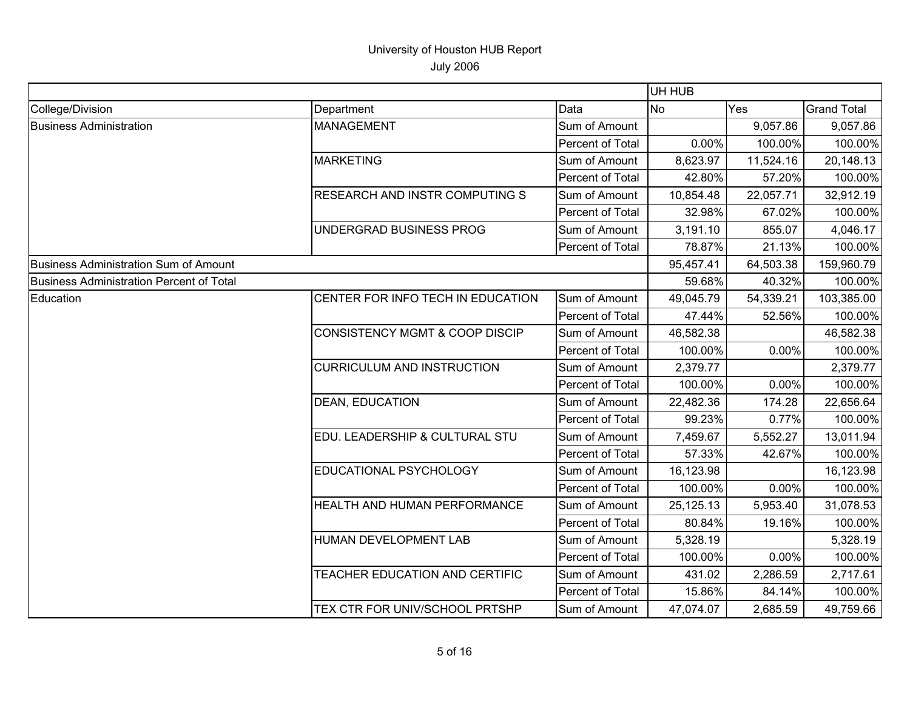|                                          |                                           |                  | UH HUB    |           |                    |
|------------------------------------------|-------------------------------------------|------------------|-----------|-----------|--------------------|
| College/Division                         | Department                                | Data             | <b>No</b> | Yes       | <b>Grand Total</b> |
| <b>Business Administration</b>           | <b>MANAGEMENT</b>                         | Sum of Amount    |           | 9,057.86  | 9,057.86           |
|                                          |                                           | Percent of Total | 0.00%     | 100.00%   | 100.00%            |
|                                          | <b>MARKETING</b>                          | Sum of Amount    | 8,623.97  | 11,524.16 | 20,148.13          |
|                                          |                                           | Percent of Total | 42.80%    | 57.20%    | 100.00%            |
|                                          | RESEARCH AND INSTR COMPUTING S            | Sum of Amount    | 10,854.48 | 22,057.71 | 32,912.19          |
|                                          |                                           | Percent of Total | 32.98%    | 67.02%    | 100.00%            |
|                                          | UNDERGRAD BUSINESS PROG                   | Sum of Amount    | 3,191.10  | 855.07    | 4,046.17           |
|                                          |                                           | Percent of Total | 78.87%    | 21.13%    | 100.00%            |
| Business Administration Sum of Amount    |                                           |                  | 95,457.41 | 64,503.38 | 159,960.79         |
| Business Administration Percent of Total |                                           |                  | 59.68%    | 40.32%    | 100.00%            |
| Education                                | CENTER FOR INFO TECH IN EDUCATION         | Sum of Amount    | 49,045.79 | 54,339.21 | 103,385.00         |
|                                          |                                           | Percent of Total | 47.44%    | 52.56%    | 100.00%            |
|                                          | <b>CONSISTENCY MGMT &amp; COOP DISCIP</b> | Sum of Amount    | 46,582.38 |           | 46,582.38          |
|                                          |                                           | Percent of Total | 100.00%   | 0.00%     | 100.00%            |
|                                          | <b>CURRICULUM AND INSTRUCTION</b>         | Sum of Amount    | 2,379.77  |           | 2,379.77           |
|                                          |                                           | Percent of Total | 100.00%   | 0.00%     | 100.00%            |
|                                          | <b>DEAN, EDUCATION</b>                    | Sum of Amount    | 22,482.36 | 174.28    | 22,656.64          |
|                                          |                                           | Percent of Total | 99.23%    | 0.77%     | 100.00%            |
|                                          | EDU. LEADERSHIP & CULTURAL STU            | Sum of Amount    | 7,459.67  | 5,552.27  | 13,011.94          |
|                                          |                                           | Percent of Total | 57.33%    | 42.67%    | 100.00%            |
|                                          | EDUCATIONAL PSYCHOLOGY                    | Sum of Amount    | 16,123.98 |           | 16,123.98          |
|                                          |                                           | Percent of Total | 100.00%   | 0.00%     | 100.00%            |
|                                          | HEALTH AND HUMAN PERFORMANCE              | Sum of Amount    | 25,125.13 | 5,953.40  | 31,078.53          |
|                                          |                                           | Percent of Total | 80.84%    | 19.16%    | 100.00%            |
|                                          | HUMAN DEVELOPMENT LAB                     | Sum of Amount    | 5,328.19  |           | 5,328.19           |
|                                          |                                           | Percent of Total | 100.00%   | 0.00%     | 100.00%            |
|                                          | TEACHER EDUCATION AND CERTIFIC            | Sum of Amount    | 431.02    | 2,286.59  | 2,717.61           |
|                                          |                                           | Percent of Total | 15.86%    | 84.14%    | 100.00%            |
|                                          | TEX CTR FOR UNIV/SCHOOL PRTSHP            | Sum of Amount    | 47,074.07 | 2,685.59  | 49,759.66          |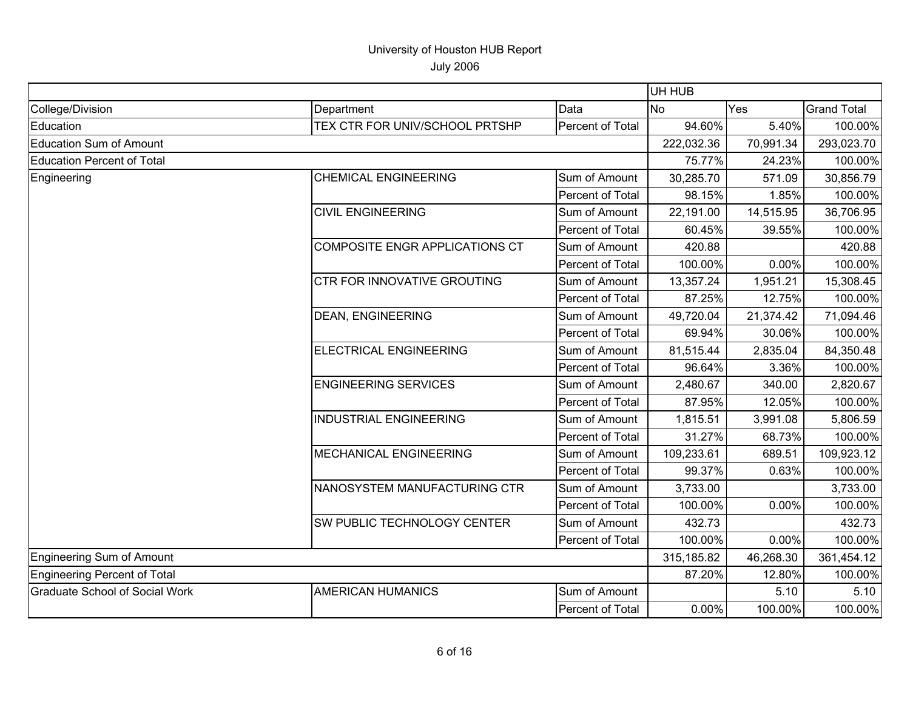|                                       |                                |                  | UH HUB     |           |                    |
|---------------------------------------|--------------------------------|------------------|------------|-----------|--------------------|
| College/Division                      | Department                     | Data             | <b>No</b>  | Yes       | <b>Grand Total</b> |
| Education                             | TEX CTR FOR UNIV/SCHOOL PRTSHP | Percent of Total | 94.60%     | 5.40%     | 100.00%            |
| <b>Education Sum of Amount</b>        |                                |                  | 222,032.36 | 70,991.34 | 293,023.70         |
| <b>Education Percent of Total</b>     |                                |                  | 75.77%     | 24.23%    | 100.00%            |
| Engineering                           | <b>CHEMICAL ENGINEERING</b>    | Sum of Amount    | 30,285.70  | 571.09    | 30,856.79          |
|                                       |                                | Percent of Total | 98.15%     | 1.85%     | 100.00%            |
|                                       | <b>CIVIL ENGINEERING</b>       | Sum of Amount    | 22,191.00  | 14,515.95 | 36,706.95          |
|                                       |                                | Percent of Total | 60.45%     | 39.55%    | 100.00%            |
|                                       | COMPOSITE ENGR APPLICATIONS CT | Sum of Amount    | 420.88     |           | 420.88             |
|                                       |                                | Percent of Total | 100.00%    | 0.00%     | 100.00%            |
|                                       | CTR FOR INNOVATIVE GROUTING    | Sum of Amount    | 13,357.24  | 1,951.21  | 15,308.45          |
|                                       |                                | Percent of Total | 87.25%     | 12.75%    | 100.00%            |
|                                       | <b>DEAN, ENGINEERING</b>       | Sum of Amount    | 49,720.04  | 21,374.42 | 71,094.46          |
|                                       |                                | Percent of Total | 69.94%     | 30.06%    | 100.00%            |
|                                       | ELECTRICAL ENGINEERING         | Sum of Amount    | 81,515.44  | 2,835.04  | 84,350.48          |
|                                       |                                | Percent of Total | 96.64%     | 3.36%     | 100.00%            |
|                                       | <b>ENGINEERING SERVICES</b>    | Sum of Amount    | 2,480.67   | 340.00    | 2,820.67           |
|                                       |                                | Percent of Total | 87.95%     | 12.05%    | 100.00%            |
|                                       | <b>INDUSTRIAL ENGINEERING</b>  | Sum of Amount    | 1,815.51   | 3,991.08  | 5,806.59           |
|                                       |                                | Percent of Total | 31.27%     | 68.73%    | 100.00%            |
|                                       | <b>MECHANICAL ENGINEERING</b>  | Sum of Amount    | 109,233.61 | 689.51    | 109,923.12         |
|                                       |                                | Percent of Total | 99.37%     | 0.63%     | 100.00%            |
|                                       | NANOSYSTEM MANUFACTURING CTR   | Sum of Amount    | 3,733.00   |           | 3,733.00           |
|                                       |                                | Percent of Total | 100.00%    | 0.00%     | 100.00%            |
|                                       | SW PUBLIC TECHNOLOGY CENTER    | Sum of Amount    | 432.73     |           | 432.73             |
|                                       |                                | Percent of Total | 100.00%    | 0.00%     | 100.00%            |
| <b>Engineering Sum of Amount</b>      |                                |                  | 315,185.82 | 46,268.30 | 361,454.12         |
| <b>Engineering Percent of Total</b>   |                                |                  | 87.20%     | 12.80%    | 100.00%            |
| <b>Graduate School of Social Work</b> | <b>AMERICAN HUMANICS</b>       | Sum of Amount    |            | 5.10      | 5.10               |
|                                       |                                | Percent of Total | 0.00%      | 100.00%   | 100.00%            |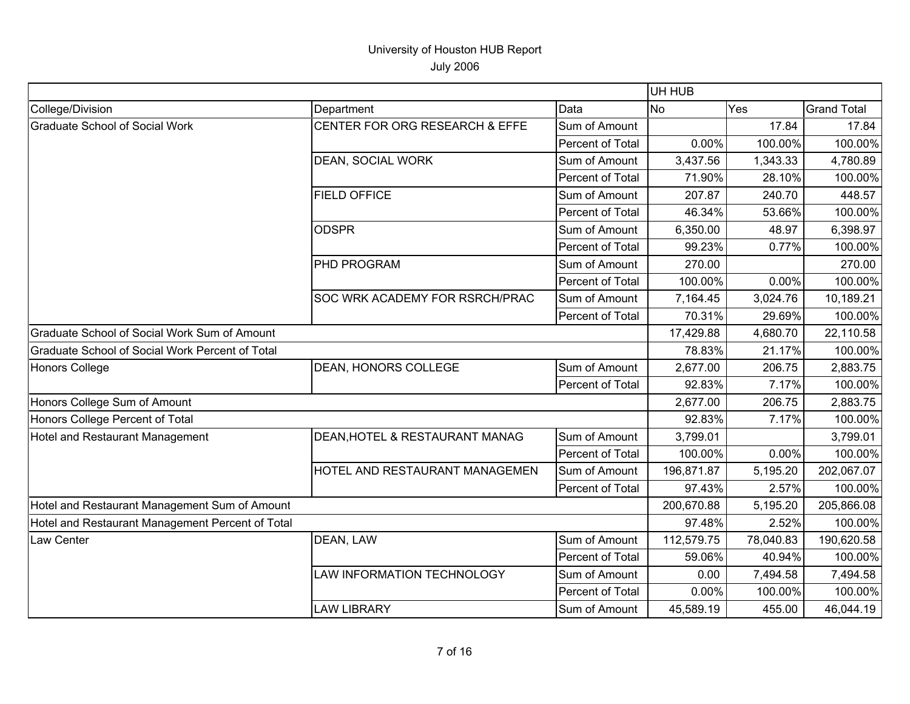|                                                  |                                |                  | UH HUB     |           |                    |
|--------------------------------------------------|--------------------------------|------------------|------------|-----------|--------------------|
| College/Division                                 | Department                     | Data             | <b>No</b>  | Yes       | <b>Grand Total</b> |
| <b>Graduate School of Social Work</b>            | CENTER FOR ORG RESEARCH & EFFE | Sum of Amount    |            | 17.84     | 17.84              |
|                                                  |                                | Percent of Total | 0.00%      | 100.00%   | 100.00%            |
|                                                  | DEAN, SOCIAL WORK              | Sum of Amount    | 3,437.56   | 1,343.33  | 4,780.89           |
|                                                  |                                | Percent of Total | 71.90%     | 28.10%    | 100.00%            |
|                                                  | <b>FIELD OFFICE</b>            | Sum of Amount    | 207.87     | 240.70    | 448.57             |
|                                                  |                                | Percent of Total | 46.34%     | 53.66%    | 100.00%            |
|                                                  | <b>ODSPR</b>                   | Sum of Amount    | 6,350.00   | 48.97     | 6,398.97           |
|                                                  |                                | Percent of Total | 99.23%     | 0.77%     | 100.00%            |
|                                                  | PHD PROGRAM                    | Sum of Amount    | 270.00     |           | 270.00             |
|                                                  |                                | Percent of Total | 100.00%    | 0.00%     | 100.00%            |
|                                                  | SOC WRK ACADEMY FOR RSRCH/PRAC | Sum of Amount    | 7,164.45   | 3,024.76  | 10,189.21          |
|                                                  |                                | Percent of Total | 70.31%     | 29.69%    | 100.00%            |
| Graduate School of Social Work Sum of Amount     |                                |                  | 17,429.88  | 4,680.70  | 22,110.58          |
| Graduate School of Social Work Percent of Total  |                                |                  | 78.83%     | 21.17%    | 100.00%            |
| <b>Honors College</b>                            | <b>DEAN, HONORS COLLEGE</b>    | Sum of Amount    | 2,677.00   | 206.75    | 2,883.75           |
|                                                  |                                | Percent of Total | 92.83%     | 7.17%     | 100.00%            |
| Honors College Sum of Amount                     |                                |                  | 2,677.00   | 206.75    | 2,883.75           |
| Honors College Percent of Total                  |                                |                  | 92.83%     | 7.17%     | 100.00%            |
| Hotel and Restaurant Management                  | DEAN, HOTEL & RESTAURANT MANAG | Sum of Amount    | 3,799.01   |           | 3,799.01           |
|                                                  |                                | Percent of Total | 100.00%    | 0.00%     | 100.00%            |
|                                                  | HOTEL AND RESTAURANT MANAGEMEN | Sum of Amount    | 196,871.87 | 5,195.20  | 202,067.07         |
|                                                  |                                | Percent of Total | 97.43%     | 2.57%     | 100.00%            |
| Hotel and Restaurant Management Sum of Amount    |                                |                  | 200,670.88 | 5,195.20  | 205,866.08         |
| Hotel and Restaurant Management Percent of Total |                                |                  | 97.48%     | 2.52%     | 100.00%            |
| Law Center                                       | DEAN, LAW                      | Sum of Amount    | 112,579.75 | 78,040.83 | 190,620.58         |
|                                                  |                                | Percent of Total | 59.06%     | 40.94%    | 100.00%            |
|                                                  | LAW INFORMATION TECHNOLOGY     | Sum of Amount    | 0.00       | 7,494.58  | 7,494.58           |
|                                                  |                                | Percent of Total | 0.00%      | 100.00%   | 100.00%            |
|                                                  | <b>LAW LIBRARY</b>             | Sum of Amount    | 45,589.19  | 455.00    | 46,044.19          |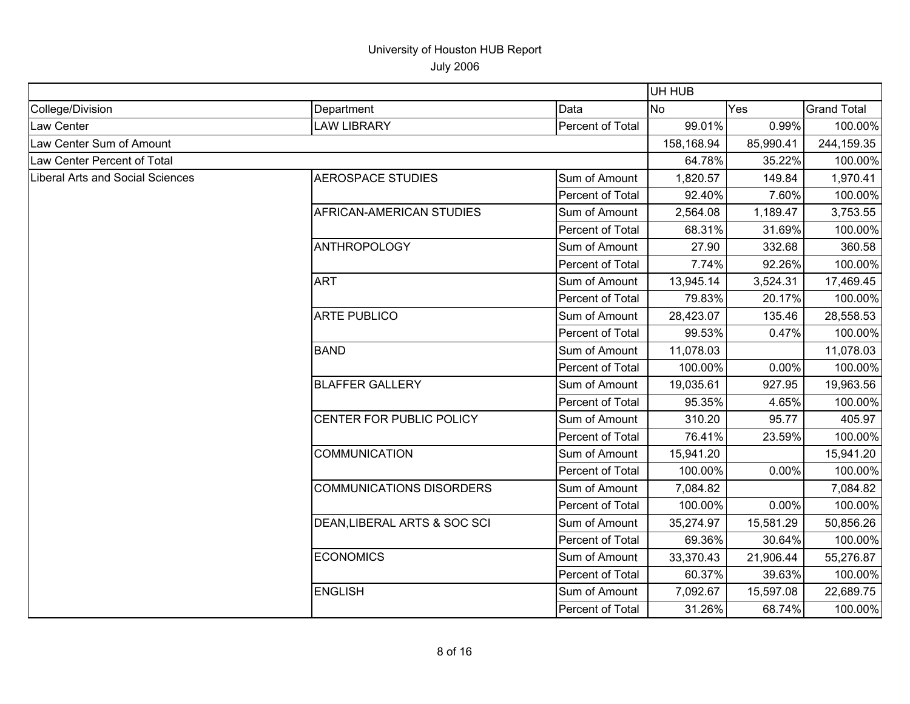|                                         |                                 |                  | UH HUB     |           |                    |
|-----------------------------------------|---------------------------------|------------------|------------|-----------|--------------------|
| College/Division                        | Department                      | Data             | <b>No</b>  | Yes       | <b>Grand Total</b> |
| Law Center                              | <b>LAW LIBRARY</b>              | Percent of Total | 99.01%     | 0.99%     | 100.00%            |
| Law Center Sum of Amount                |                                 |                  | 158,168.94 | 85,990.41 | 244,159.35         |
| Law Center Percent of Total             |                                 |                  | 64.78%     | 35.22%    | 100.00%            |
| <b>Liberal Arts and Social Sciences</b> | <b>AEROSPACE STUDIES</b>        | Sum of Amount    | 1,820.57   | 149.84    | 1,970.41           |
|                                         |                                 | Percent of Total | 92.40%     | 7.60%     | 100.00%            |
|                                         | AFRICAN-AMERICAN STUDIES        | Sum of Amount    | 2,564.08   | 1,189.47  | 3,753.55           |
|                                         |                                 | Percent of Total | 68.31%     | 31.69%    | 100.00%            |
|                                         | <b>ANTHROPOLOGY</b>             | Sum of Amount    | 27.90      | 332.68    | 360.58             |
|                                         |                                 | Percent of Total | 7.74%      | 92.26%    | 100.00%            |
|                                         | <b>ART</b>                      | Sum of Amount    | 13,945.14  | 3,524.31  | 17,469.45          |
|                                         |                                 | Percent of Total | 79.83%     | 20.17%    | 100.00%            |
|                                         | <b>ARTE PUBLICO</b>             | Sum of Amount    | 28,423.07  | 135.46    | 28,558.53          |
|                                         |                                 | Percent of Total | 99.53%     | 0.47%     | 100.00%            |
|                                         | <b>BAND</b>                     | Sum of Amount    | 11,078.03  |           | 11,078.03          |
|                                         |                                 | Percent of Total | 100.00%    | 0.00%     | 100.00%            |
|                                         | <b>BLAFFER GALLERY</b>          | Sum of Amount    | 19,035.61  | 927.95    | 19,963.56          |
|                                         |                                 | Percent of Total | 95.35%     | 4.65%     | 100.00%            |
|                                         | CENTER FOR PUBLIC POLICY        | Sum of Amount    | 310.20     | 95.77     | 405.97             |
|                                         |                                 | Percent of Total | 76.41%     | 23.59%    | 100.00%            |
|                                         | <b>COMMUNICATION</b>            | Sum of Amount    | 15,941.20  |           | 15,941.20          |
|                                         |                                 | Percent of Total | 100.00%    | 0.00%     | 100.00%            |
|                                         | <b>COMMUNICATIONS DISORDERS</b> | Sum of Amount    | 7,084.82   |           | 7,084.82           |
|                                         |                                 | Percent of Total | 100.00%    | 0.00%     | 100.00%            |
|                                         | DEAN, LIBERAL ARTS & SOC SCI    | Sum of Amount    | 35,274.97  | 15,581.29 | 50,856.26          |
|                                         |                                 | Percent of Total | 69.36%     | 30.64%    | 100.00%            |
|                                         | <b>ECONOMICS</b>                | Sum of Amount    | 33,370.43  | 21,906.44 | 55,276.87          |
|                                         |                                 | Percent of Total | 60.37%     | 39.63%    | 100.00%            |
|                                         | <b>ENGLISH</b>                  | Sum of Amount    | 7,092.67   | 15,597.08 | 22,689.75          |
|                                         |                                 | Percent of Total | 31.26%     | 68.74%    | 100.00%            |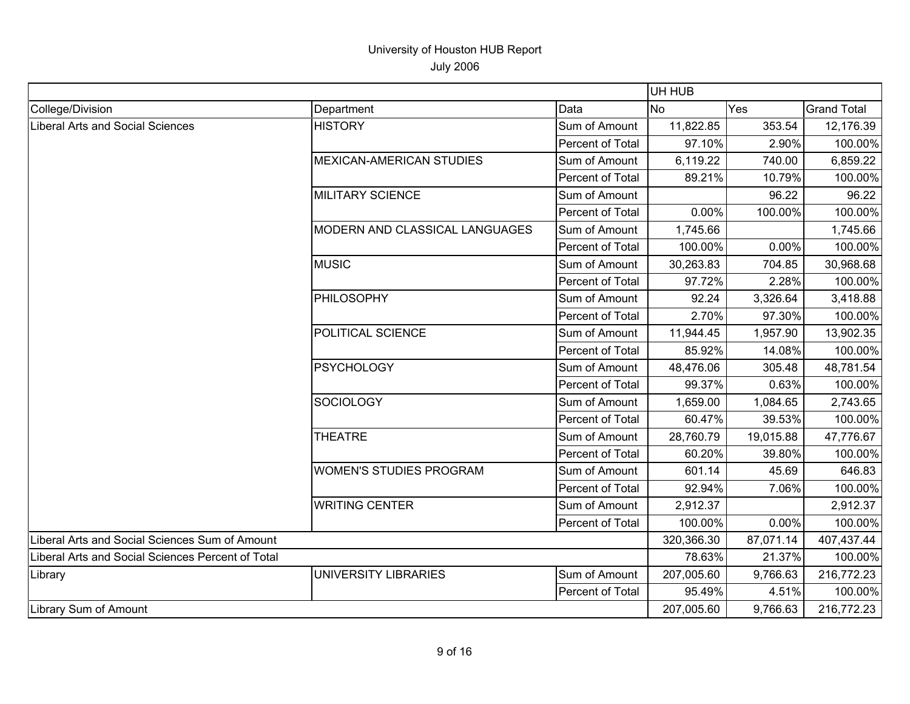|                                                   |                                 |                  | UH HUB     |           |                    |
|---------------------------------------------------|---------------------------------|------------------|------------|-----------|--------------------|
| College/Division                                  | Department                      | Data             | <b>No</b>  | Yes       | <b>Grand Total</b> |
| Liberal Arts and Social Sciences                  | <b>HISTORY</b>                  | Sum of Amount    | 11,822.85  | 353.54    | 12,176.39          |
|                                                   |                                 | Percent of Total | 97.10%     | 2.90%     | 100.00%            |
|                                                   | <b>MEXICAN-AMERICAN STUDIES</b> | Sum of Amount    | 6,119.22   | 740.00    | 6,859.22           |
|                                                   |                                 | Percent of Total | 89.21%     | 10.79%    | 100.00%            |
|                                                   | <b>MILITARY SCIENCE</b>         | Sum of Amount    |            | 96.22     | 96.22              |
|                                                   |                                 | Percent of Total | 0.00%      | 100.00%   | 100.00%            |
|                                                   | MODERN AND CLASSICAL LANGUAGES  | Sum of Amount    | 1,745.66   |           | 1,745.66           |
|                                                   |                                 | Percent of Total | 100.00%    | 0.00%     | 100.00%            |
|                                                   | <b>MUSIC</b>                    | Sum of Amount    | 30,263.83  | 704.85    | 30,968.68          |
|                                                   |                                 | Percent of Total | 97.72%     | 2.28%     | 100.00%            |
|                                                   | PHILOSOPHY                      | Sum of Amount    | 92.24      | 3,326.64  | 3,418.88           |
|                                                   |                                 | Percent of Total | 2.70%      | 97.30%    | 100.00%            |
|                                                   | POLITICAL SCIENCE               | Sum of Amount    | 11,944.45  | 1,957.90  | 13,902.35          |
|                                                   |                                 | Percent of Total | 85.92%     | 14.08%    | 100.00%            |
|                                                   | <b>PSYCHOLOGY</b>               | Sum of Amount    | 48,476.06  | 305.48    | 48,781.54          |
|                                                   |                                 | Percent of Total | 99.37%     | 0.63%     | 100.00%            |
|                                                   | <b>SOCIOLOGY</b>                | Sum of Amount    | 1,659.00   | 1,084.65  | 2,743.65           |
|                                                   |                                 | Percent of Total | 60.47%     | 39.53%    | 100.00%            |
|                                                   | <b>THEATRE</b>                  | Sum of Amount    | 28,760.79  | 19,015.88 | 47,776.67          |
|                                                   |                                 | Percent of Total | 60.20%     | 39.80%    | 100.00%            |
|                                                   | <b>WOMEN'S STUDIES PROGRAM</b>  | Sum of Amount    | 601.14     | 45.69     | 646.83             |
|                                                   |                                 | Percent of Total | 92.94%     | 7.06%     | 100.00%            |
|                                                   | <b>WRITING CENTER</b>           | Sum of Amount    | 2,912.37   |           | 2,912.37           |
|                                                   |                                 | Percent of Total | 100.00%    | 0.00%     | 100.00%            |
| Liberal Arts and Social Sciences Sum of Amount    |                                 |                  | 320,366.30 | 87,071.14 | 407,437.44         |
| Liberal Arts and Social Sciences Percent of Total |                                 |                  | 78.63%     | 21.37%    | 100.00%            |
| Library                                           | <b>UNIVERSITY LIBRARIES</b>     | Sum of Amount    | 207,005.60 | 9,766.63  | 216,772.23         |
|                                                   |                                 | Percent of Total | 95.49%     | 4.51%     | 100.00%            |
| Library Sum of Amount                             |                                 |                  | 207,005.60 | 9,766.63  | 216,772.23         |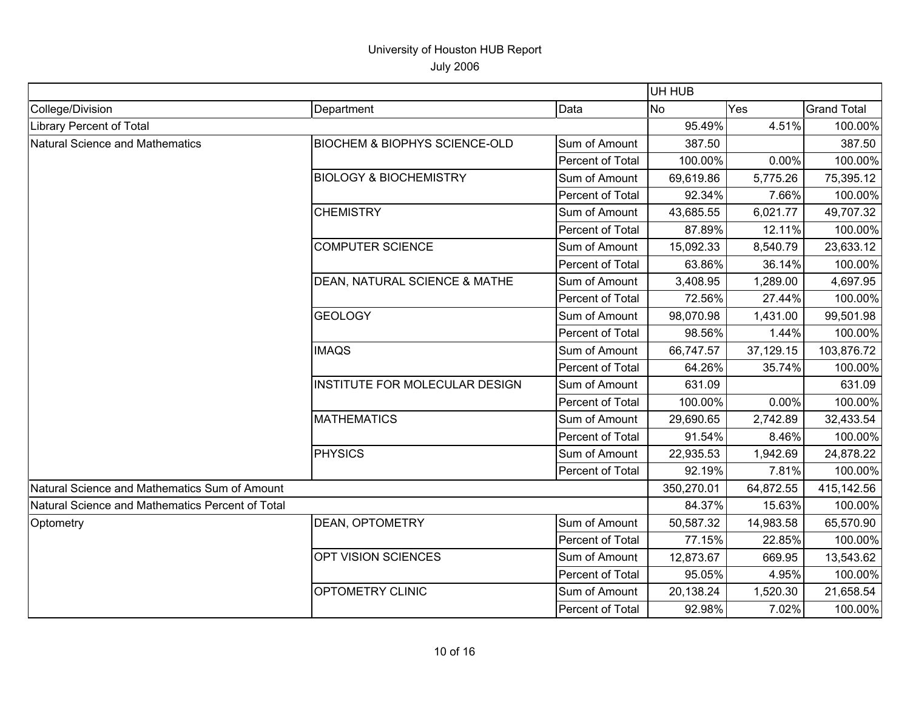|                                                  |                                          |                  | UH HUB     |           |                    |
|--------------------------------------------------|------------------------------------------|------------------|------------|-----------|--------------------|
| College/Division                                 | Department                               | Data             | <b>No</b>  | Yes       | <b>Grand Total</b> |
| <b>Library Percent of Total</b>                  |                                          | 95.49%           | 4.51%      | 100.00%   |                    |
| Natural Science and Mathematics                  | <b>BIOCHEM &amp; BIOPHYS SCIENCE-OLD</b> | Sum of Amount    | 387.50     |           | 387.50             |
|                                                  |                                          | Percent of Total | 100.00%    | 0.00%     | 100.00%            |
|                                                  | <b>BIOLOGY &amp; BIOCHEMISTRY</b>        | Sum of Amount    | 69,619.86  | 5,775.26  | 75,395.12          |
|                                                  |                                          | Percent of Total | 92.34%     | 7.66%     | 100.00%            |
|                                                  | <b>CHEMISTRY</b>                         | Sum of Amount    | 43,685.55  | 6,021.77  | 49,707.32          |
|                                                  |                                          | Percent of Total | 87.89%     | 12.11%    | 100.00%            |
|                                                  | <b>COMPUTER SCIENCE</b>                  | Sum of Amount    | 15,092.33  | 8,540.79  | 23,633.12          |
|                                                  |                                          | Percent of Total | 63.86%     | 36.14%    | 100.00%            |
|                                                  | <b>DEAN, NATURAL SCIENCE &amp; MATHE</b> | Sum of Amount    | 3,408.95   | 1,289.00  | 4,697.95           |
|                                                  |                                          | Percent of Total | 72.56%     | 27.44%    | 100.00%            |
|                                                  | <b>GEOLOGY</b>                           | Sum of Amount    | 98,070.98  | 1,431.00  | 99,501.98          |
|                                                  |                                          | Percent of Total | 98.56%     | 1.44%     | 100.00%            |
|                                                  | <b>IMAQS</b>                             | Sum of Amount    | 66,747.57  | 37,129.15 | 103,876.72         |
|                                                  |                                          | Percent of Total | 64.26%     | 35.74%    | 100.00%            |
|                                                  | INSTITUTE FOR MOLECULAR DESIGN           | Sum of Amount    | 631.09     |           | 631.09             |
|                                                  |                                          | Percent of Total | 100.00%    | 0.00%     | 100.00%            |
|                                                  | <b>MATHEMATICS</b>                       | Sum of Amount    | 29,690.65  | 2,742.89  | 32,433.54          |
|                                                  |                                          | Percent of Total | 91.54%     | 8.46%     | 100.00%            |
|                                                  | PHYSICS                                  | Sum of Amount    | 22,935.53  | 1,942.69  | 24,878.22          |
|                                                  |                                          | Percent of Total | 92.19%     | 7.81%     | 100.00%            |
| Natural Science and Mathematics Sum of Amount    |                                          |                  | 350,270.01 | 64,872.55 | 415,142.56         |
| Natural Science and Mathematics Percent of Total |                                          |                  | 84.37%     | 15.63%    | 100.00%            |
| Optometry                                        | <b>DEAN, OPTOMETRY</b>                   | Sum of Amount    | 50,587.32  | 14,983.58 | 65,570.90          |
|                                                  |                                          | Percent of Total | 77.15%     | 22.85%    | 100.00%            |
|                                                  | OPT VISION SCIENCES                      | Sum of Amount    | 12,873.67  | 669.95    | 13,543.62          |
|                                                  |                                          | Percent of Total | 95.05%     | 4.95%     | 100.00%            |
|                                                  | <b>OPTOMETRY CLINIC</b>                  | Sum of Amount    | 20,138.24  | 1,520.30  | 21,658.54          |
|                                                  |                                          | Percent of Total | 92.98%     | 7.02%     | 100.00%            |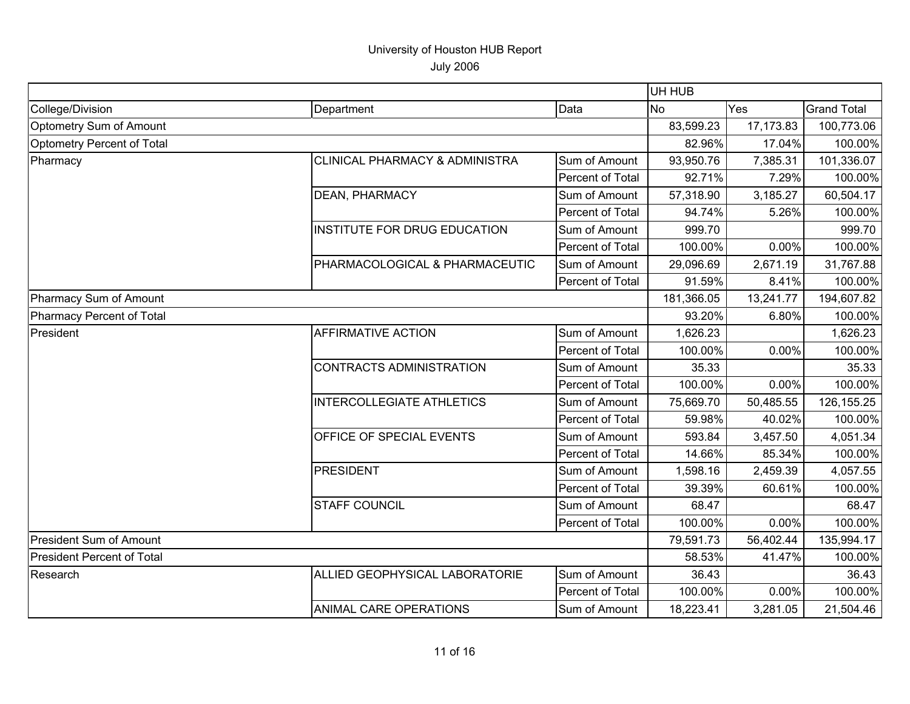July 2006

|                                                                                                                                                                                                                                                                                                                                                                                           |                                |                         | UH HUB     |           |                    |
|-------------------------------------------------------------------------------------------------------------------------------------------------------------------------------------------------------------------------------------------------------------------------------------------------------------------------------------------------------------------------------------------|--------------------------------|-------------------------|------------|-----------|--------------------|
| College/Division                                                                                                                                                                                                                                                                                                                                                                          | Department                     | Data                    | No.        | Yes       | <b>Grand Total</b> |
| Optometry Sum of Amount                                                                                                                                                                                                                                                                                                                                                                   |                                |                         | 83,599.23  | 17,173.83 | 100,773.06         |
| Optometry Percent of Total<br>Pharmacy<br><b>CLINICAL PHARMACY &amp; ADMINISTRA</b><br><b>DEAN, PHARMACY</b><br><b>INSTITUTE FOR DRUG EDUCATION</b><br>PHARMACOLOGICAL & PHARMACEUTIC<br>Pharmacy Sum of Amount<br>Pharmacy Percent of Total<br><b>AFFIRMATIVE ACTION</b><br>President<br><b>CONTRACTS ADMINISTRATION</b><br><b>INTERCOLLEGIATE ATHLETICS</b><br>OFFICE OF SPECIAL EVENTS |                                |                         | 82.96%     | 17.04%    | 100.00%            |
|                                                                                                                                                                                                                                                                                                                                                                                           |                                | Sum of Amount           | 93,950.76  | 7,385.31  | 101,336.07         |
|                                                                                                                                                                                                                                                                                                                                                                                           |                                | Percent of Total        | 92.71%     | 7.29%     | 100.00%            |
|                                                                                                                                                                                                                                                                                                                                                                                           |                                | Sum of Amount           | 57,318.90  | 3,185.27  | 60,504.17          |
|                                                                                                                                                                                                                                                                                                                                                                                           |                                | Percent of Total        | 94.74%     | 5.26%     | 100.00%            |
|                                                                                                                                                                                                                                                                                                                                                                                           |                                | Sum of Amount           | 999.70     |           | 999.70             |
|                                                                                                                                                                                                                                                                                                                                                                                           |                                | Percent of Total        | 100.00%    | 0.00%     | 100.00%            |
|                                                                                                                                                                                                                                                                                                                                                                                           |                                | Sum of Amount           | 29,096.69  | 2,671.19  | 31,767.88          |
|                                                                                                                                                                                                                                                                                                                                                                                           |                                | Percent of Total        | 91.59%     | 8.41%     | 100.00%            |
|                                                                                                                                                                                                                                                                                                                                                                                           |                                |                         | 181,366.05 | 13,241.77 | 194,607.82         |
|                                                                                                                                                                                                                                                                                                                                                                                           |                                |                         | 93.20%     | 6.80%     | 100.00%            |
|                                                                                                                                                                                                                                                                                                                                                                                           |                                | Sum of Amount           | 1,626.23   |           | 1,626.23           |
|                                                                                                                                                                                                                                                                                                                                                                                           |                                | Percent of Total        | 100.00%    | 0.00%     | 100.00%            |
|                                                                                                                                                                                                                                                                                                                                                                                           |                                | Sum of Amount           | 35.33      |           | 35.33              |
|                                                                                                                                                                                                                                                                                                                                                                                           |                                | Percent of Total        | 100.00%    | 0.00%     | 100.00%            |
|                                                                                                                                                                                                                                                                                                                                                                                           |                                | Sum of Amount           | 75,669.70  | 50,485.55 | 126, 155. 25       |
|                                                                                                                                                                                                                                                                                                                                                                                           |                                | Percent of Total        | 59.98%     | 40.02%    | 100.00%            |
|                                                                                                                                                                                                                                                                                                                                                                                           |                                | Sum of Amount           | 593.84     | 3,457.50  | 4,051.34           |
|                                                                                                                                                                                                                                                                                                                                                                                           |                                | Percent of Total        | 14.66%     | 85.34%    | 100.00%            |
|                                                                                                                                                                                                                                                                                                                                                                                           | <b>PRESIDENT</b>               | Sum of Amount           | 1,598.16   | 2,459.39  | 4,057.55           |
|                                                                                                                                                                                                                                                                                                                                                                                           |                                | Percent of Total        | 39.39%     | 60.61%    | 100.00%            |
|                                                                                                                                                                                                                                                                                                                                                                                           | <b>STAFF COUNCIL</b>           | Sum of Amount           | 68.47      |           | 68.47              |
|                                                                                                                                                                                                                                                                                                                                                                                           |                                | <b>Percent of Total</b> | 100.00%    | 0.00%     | 100.00%            |
| <b>President Sum of Amount</b>                                                                                                                                                                                                                                                                                                                                                            |                                |                         | 79,591.73  | 56,402.44 | 135,994.17         |
| <b>President Percent of Total</b>                                                                                                                                                                                                                                                                                                                                                         |                                |                         | 58.53%     | 41.47%    | 100.00%            |
| Research                                                                                                                                                                                                                                                                                                                                                                                  | ALLIED GEOPHYSICAL LABORATORIE | Sum of Amount           | 36.43      |           | 36.43              |
|                                                                                                                                                                                                                                                                                                                                                                                           |                                | Percent of Total        | 100.00%    | 0.00%     | 100.00%            |
|                                                                                                                                                                                                                                                                                                                                                                                           | <b>ANIMAL CARE OPERATIONS</b>  | Sum of Amount           | 18,223.41  | 3,281.05  | 21,504.46          |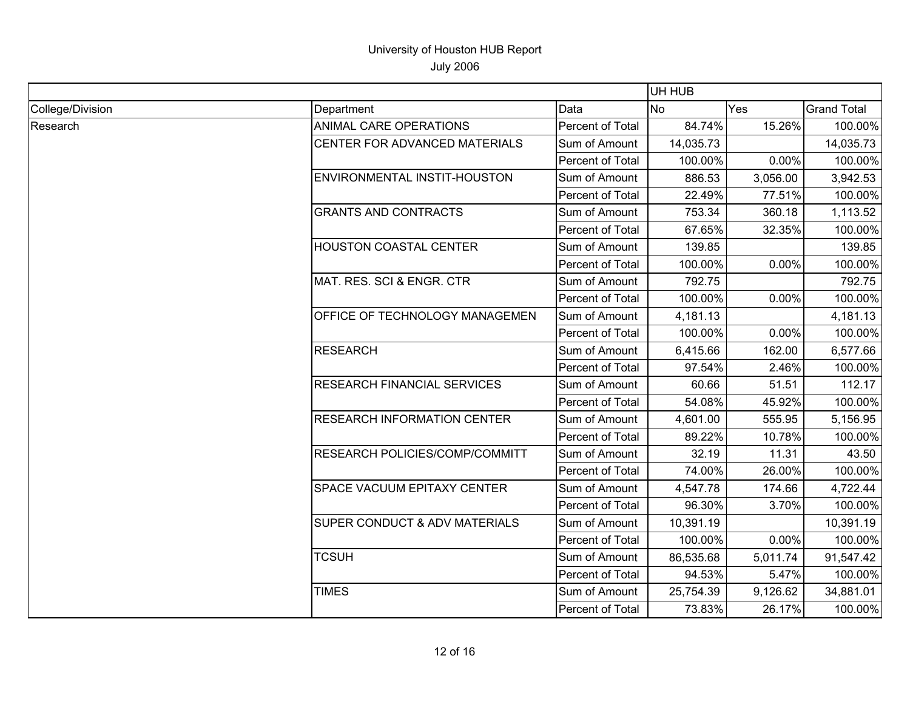|                  |                                    |                  | UH HUB    |          |                    |
|------------------|------------------------------------|------------------|-----------|----------|--------------------|
| College/Division | Department                         | Data             | <b>No</b> | Yes      | <b>Grand Total</b> |
| Research         | ANIMAL CARE OPERATIONS             | Percent of Total | 84.74%    | 15.26%   | 100.00%            |
|                  | CENTER FOR ADVANCED MATERIALS      | Sum of Amount    | 14,035.73 |          | 14,035.73          |
|                  |                                    | Percent of Total | 100.00%   | 0.00%    | 100.00%            |
|                  | ENVIRONMENTAL INSTIT-HOUSTON       | Sum of Amount    | 886.53    | 3,056.00 | 3,942.53           |
|                  |                                    | Percent of Total | 22.49%    | 77.51%   | 100.00%            |
|                  | <b>GRANTS AND CONTRACTS</b>        | Sum of Amount    | 753.34    | 360.18   | 1,113.52           |
|                  |                                    | Percent of Total | 67.65%    | 32.35%   | 100.00%            |
|                  | <b>HOUSTON COASTAL CENTER</b>      | Sum of Amount    | 139.85    |          | 139.85             |
|                  |                                    | Percent of Total | 100.00%   | 0.00%    | 100.00%            |
|                  | MAT. RES. SCI & ENGR. CTR          | Sum of Amount    | 792.75    |          | 792.75             |
|                  |                                    | Percent of Total | 100.00%   | 0.00%    | 100.00%            |
|                  | OFFICE OF TECHNOLOGY MANAGEMEN     | Sum of Amount    | 4,181.13  |          | 4,181.13           |
|                  |                                    | Percent of Total | 100.00%   | 0.00%    | 100.00%            |
|                  | <b>RESEARCH</b>                    | Sum of Amount    | 6,415.66  | 162.00   | 6,577.66           |
|                  |                                    | Percent of Total | 97.54%    | 2.46%    | 100.00%            |
|                  | <b>RESEARCH FINANCIAL SERVICES</b> | Sum of Amount    | 60.66     | 51.51    | 112.17             |
|                  |                                    | Percent of Total | 54.08%    | 45.92%   | 100.00%            |
|                  | <b>RESEARCH INFORMATION CENTER</b> | Sum of Amount    | 4,601.00  | 555.95   | 5,156.95           |
|                  |                                    | Percent of Total | 89.22%    | 10.78%   | 100.00%            |
|                  | RESEARCH POLICIES/COMP/COMMITT     | Sum of Amount    | 32.19     | 11.31    | 43.50              |
|                  |                                    | Percent of Total | 74.00%    | 26.00%   | 100.00%            |
|                  | <b>SPACE VACUUM EPITAXY CENTER</b> | Sum of Amount    | 4,547.78  | 174.66   | 4,722.44           |
|                  |                                    | Percent of Total | 96.30%    | 3.70%    | 100.00%            |
|                  | SUPER CONDUCT & ADV MATERIALS      | Sum of Amount    | 10,391.19 |          | 10,391.19          |
|                  |                                    | Percent of Total | 100.00%   | 0.00%    | 100.00%            |
|                  | <b>TCSUH</b>                       | Sum of Amount    | 86,535.68 | 5,011.74 | 91,547.42          |
|                  |                                    | Percent of Total | 94.53%    | 5.47%    | 100.00%            |
|                  | <b>TIMES</b>                       | Sum of Amount    | 25,754.39 | 9,126.62 | 34,881.01          |
|                  |                                    | Percent of Total | 73.83%    | 26.17%   | 100.00%            |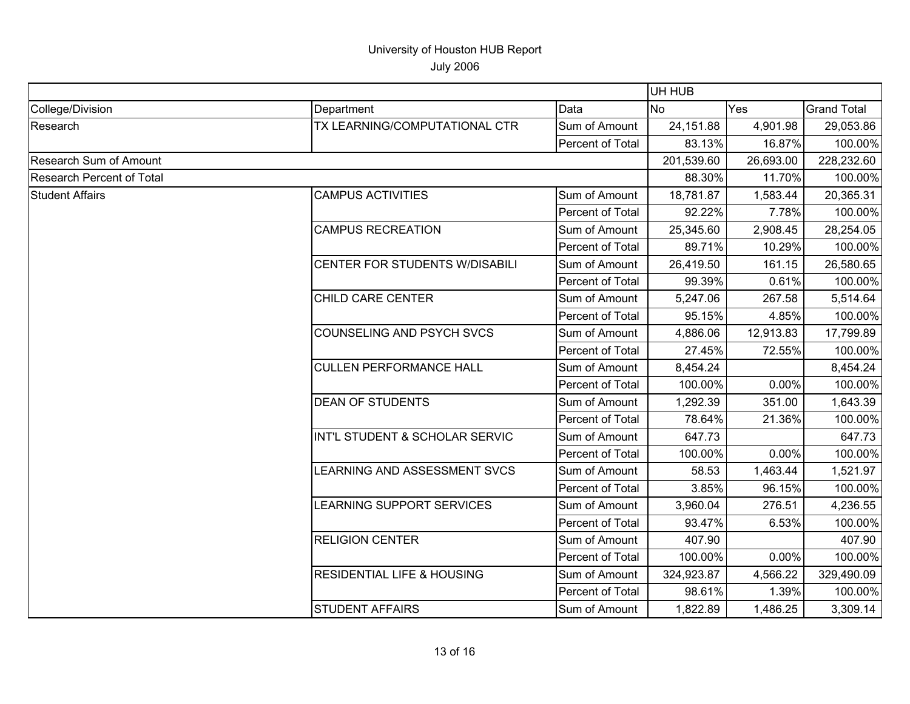|                               |                                       |                  | UH HUB     |           |                    |
|-------------------------------|---------------------------------------|------------------|------------|-----------|--------------------|
| College/Division              | Department                            | Data             | <b>No</b>  | Yes       | <b>Grand Total</b> |
| Research                      | TX LEARNING/COMPUTATIONAL CTR         | Sum of Amount    | 24,151.88  | 4,901.98  | 29,053.86          |
|                               |                                       | Percent of Total | 83.13%     | 16.87%    | 100.00%            |
| <b>Research Sum of Amount</b> |                                       |                  | 201,539.60 | 26,693.00 | 228,232.60         |
| Research Percent of Total     |                                       |                  | 88.30%     | 11.70%    | 100.00%            |
| <b>Student Affairs</b>        | <b>CAMPUS ACTIVITIES</b>              | Sum of Amount    | 18,781.87  | 1,583.44  | 20,365.31          |
|                               |                                       | Percent of Total | 92.22%     | 7.78%     | 100.00%            |
|                               | <b>CAMPUS RECREATION</b>              | Sum of Amount    | 25,345.60  | 2,908.45  | 28,254.05          |
|                               |                                       | Percent of Total | 89.71%     | 10.29%    | 100.00%            |
|                               | CENTER FOR STUDENTS W/DISABILI        | Sum of Amount    | 26,419.50  | 161.15    | 26,580.65          |
|                               |                                       | Percent of Total | 99.39%     | 0.61%     | 100.00%            |
|                               | <b>CHILD CARE CENTER</b>              | Sum of Amount    | 5,247.06   | 267.58    | 5,514.64           |
|                               |                                       | Percent of Total | 95.15%     | 4.85%     | 100.00%            |
|                               | <b>COUNSELING AND PSYCH SVCS</b>      | Sum of Amount    | 4,886.06   | 12,913.83 | 17,799.89          |
|                               |                                       | Percent of Total | 27.45%     | 72.55%    | 100.00%            |
|                               | <b>CULLEN PERFORMANCE HALL</b>        | Sum of Amount    | 8,454.24   |           | 8,454.24           |
|                               |                                       | Percent of Total | 100.00%    | 0.00%     | 100.00%            |
|                               | <b>DEAN OF STUDENTS</b>               | Sum of Amount    | 1,292.39   | 351.00    | 1,643.39           |
|                               |                                       | Percent of Total | 78.64%     | 21.36%    | 100.00%            |
|                               | INT'L STUDENT & SCHOLAR SERVIC        | Sum of Amount    | 647.73     |           | 647.73             |
|                               |                                       | Percent of Total | 100.00%    | 0.00%     | 100.00%            |
|                               | LEARNING AND ASSESSMENT SVCS          | Sum of Amount    | 58.53      | 1,463.44  | 1,521.97           |
|                               |                                       | Percent of Total | 3.85%      | 96.15%    | 100.00%            |
|                               | <b>LEARNING SUPPORT SERVICES</b>      | Sum of Amount    | 3,960.04   | 276.51    | 4,236.55           |
|                               |                                       | Percent of Total | 93.47%     | 6.53%     | 100.00%            |
|                               | <b>RELIGION CENTER</b>                | Sum of Amount    | 407.90     |           | 407.90             |
|                               |                                       | Percent of Total | 100.00%    | 0.00%     | 100.00%            |
|                               | <b>RESIDENTIAL LIFE &amp; HOUSING</b> | Sum of Amount    | 324,923.87 | 4,566.22  | 329,490.09         |
|                               |                                       | Percent of Total | 98.61%     | 1.39%     | 100.00%            |
|                               | <b>STUDENT AFFAIRS</b>                | Sum of Amount    | 1,822.89   | 1,486.25  | 3,309.14           |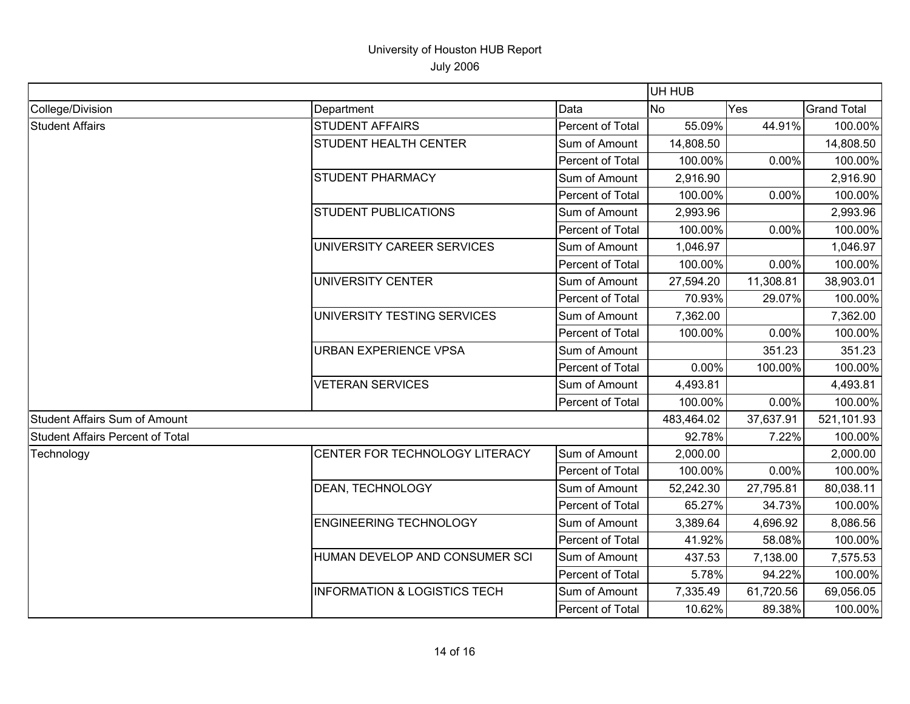|                                         |                                         |                  | UH HUB     |           |                    |
|-----------------------------------------|-----------------------------------------|------------------|------------|-----------|--------------------|
| College/Division                        | Department                              | Data             | <b>No</b>  | Yes       | <b>Grand Total</b> |
| <b>Student Affairs</b>                  | <b>STUDENT AFFAIRS</b>                  | Percent of Total | 55.09%     | 44.91%    | 100.00%            |
|                                         | <b>STUDENT HEALTH CENTER</b>            | Sum of Amount    | 14,808.50  |           | 14,808.50          |
|                                         |                                         | Percent of Total | 100.00%    | 0.00%     | 100.00%            |
|                                         | <b>STUDENT PHARMACY</b>                 | Sum of Amount    | 2,916.90   |           | 2,916.90           |
|                                         |                                         | Percent of Total | 100.00%    | 0.00%     | 100.00%            |
|                                         | <b>STUDENT PUBLICATIONS</b>             | Sum of Amount    | 2,993.96   |           | 2,993.96           |
|                                         |                                         | Percent of Total | 100.00%    | 0.00%     | 100.00%            |
|                                         | UNIVERSITY CAREER SERVICES              | Sum of Amount    | 1,046.97   |           | 1,046.97           |
|                                         |                                         | Percent of Total | 100.00%    | 0.00%     | 100.00%            |
|                                         | UNIVERSITY CENTER                       | Sum of Amount    | 27,594.20  | 11,308.81 | 38,903.01          |
|                                         |                                         | Percent of Total | 70.93%     | 29.07%    | 100.00%            |
|                                         | UNIVERSITY TESTING SERVICES             | Sum of Amount    | 7,362.00   |           | 7,362.00           |
|                                         |                                         | Percent of Total | 100.00%    | 0.00%     | 100.00%            |
|                                         | <b>URBAN EXPERIENCE VPSA</b>            | Sum of Amount    |            | 351.23    | 351.23             |
|                                         |                                         | Percent of Total | 0.00%      | 100.00%   | 100.00%            |
|                                         | <b>VETERAN SERVICES</b>                 | Sum of Amount    | 4,493.81   |           | 4,493.81           |
|                                         |                                         | Percent of Total | 100.00%    | 0.00%     | 100.00%            |
| Student Affairs Sum of Amount           |                                         |                  | 483,464.02 | 37,637.91 | 521,101.93         |
| <b>Student Affairs Percent of Total</b> |                                         |                  | 92.78%     | 7.22%     | 100.00%            |
| Technology                              | CENTER FOR TECHNOLOGY LITERACY          | Sum of Amount    | 2,000.00   |           | 2,000.00           |
|                                         |                                         | Percent of Total | 100.00%    | 0.00%     | 100.00%            |
|                                         | DEAN, TECHNOLOGY                        | Sum of Amount    | 52,242.30  | 27,795.81 | 80,038.11          |
|                                         |                                         | Percent of Total | 65.27%     | 34.73%    | 100.00%            |
|                                         | <b>ENGINEERING TECHNOLOGY</b>           | Sum of Amount    | 3,389.64   | 4,696.92  | 8,086.56           |
|                                         |                                         | Percent of Total | 41.92%     | 58.08%    | 100.00%            |
|                                         | HUMAN DEVELOP AND CONSUMER SCI          | Sum of Amount    | 437.53     | 7,138.00  | 7,575.53           |
|                                         |                                         | Percent of Total | 5.78%      | 94.22%    | 100.00%            |
|                                         | <b>INFORMATION &amp; LOGISTICS TECH</b> | Sum of Amount    | 7,335.49   | 61,720.56 | 69,056.05          |
|                                         |                                         | Percent of Total | 10.62%     | 89.38%    | 100.00%            |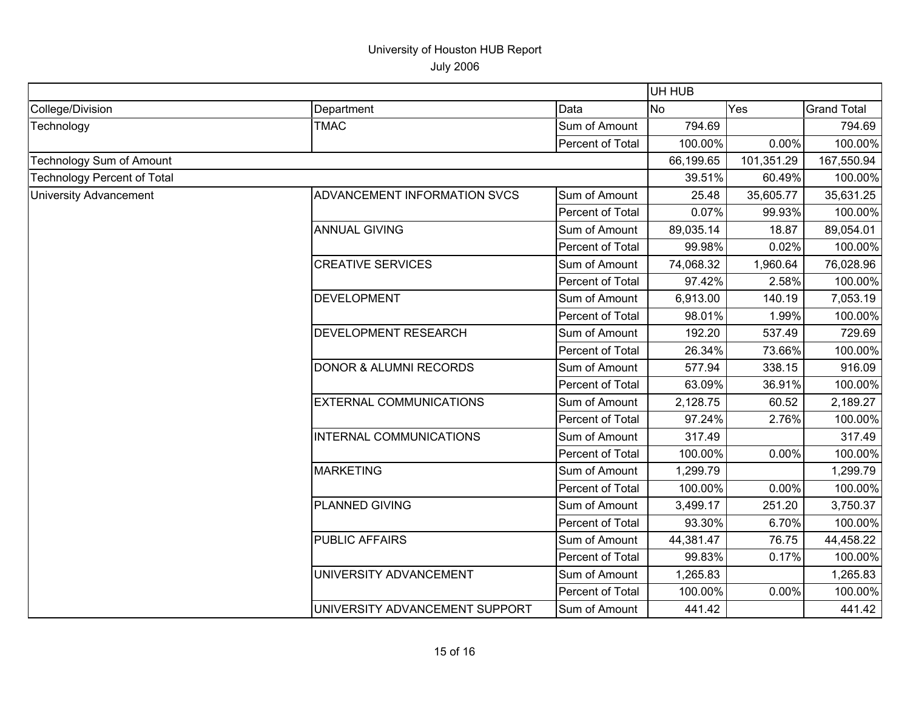|                                    |                                   |                  | UH HUB     |            |                    |  |
|------------------------------------|-----------------------------------|------------------|------------|------------|--------------------|--|
| College/Division                   | Department                        | Data             | <b>No</b>  | Yes        | <b>Grand Total</b> |  |
| Technology                         | <b>TMAC</b>                       | Sum of Amount    | 794.69     |            | 794.69             |  |
|                                    |                                   | Percent of Total | 100.00%    | 0.00%      | 100.00%            |  |
| Technology Sum of Amount           |                                   | 66,199.65        | 101,351.29 | 167,550.94 |                    |  |
| <b>Technology Percent of Total</b> |                                   |                  | 39.51%     | 60.49%     | 100.00%            |  |
| <b>University Advancement</b>      | ADVANCEMENT INFORMATION SVCS      | Sum of Amount    | 25.48      | 35,605.77  | 35,631.25          |  |
|                                    |                                   | Percent of Total | 0.07%      | 99.93%     | 100.00%            |  |
|                                    | <b>ANNUAL GIVING</b>              | Sum of Amount    | 89,035.14  | 18.87      | 89,054.01          |  |
|                                    |                                   | Percent of Total | 99.98%     | 0.02%      | 100.00%            |  |
|                                    | <b>CREATIVE SERVICES</b>          | Sum of Amount    | 74,068.32  | 1,960.64   | 76,028.96          |  |
|                                    |                                   | Percent of Total | 97.42%     | 2.58%      | 100.00%            |  |
|                                    | DEVELOPMENT                       | Sum of Amount    | 6,913.00   | 140.19     | 7,053.19           |  |
|                                    |                                   | Percent of Total | 98.01%     | 1.99%      | 100.00%            |  |
|                                    | <b>DEVELOPMENT RESEARCH</b>       | Sum of Amount    | 192.20     | 537.49     | 729.69             |  |
|                                    |                                   | Percent of Total | 26.34%     | 73.66%     | 100.00%            |  |
|                                    | <b>DONOR &amp; ALUMNI RECORDS</b> | Sum of Amount    | 577.94     | 338.15     | 916.09             |  |
|                                    |                                   | Percent of Total | 63.09%     | 36.91%     | 100.00%            |  |
|                                    | <b>EXTERNAL COMMUNICATIONS</b>    | Sum of Amount    | 2,128.75   | 60.52      | 2,189.27           |  |
|                                    |                                   | Percent of Total | 97.24%     | 2.76%      | 100.00%            |  |
|                                    | INTERNAL COMMUNICATIONS           | Sum of Amount    | 317.49     |            | 317.49             |  |
|                                    |                                   | Percent of Total | 100.00%    | 0.00%      | 100.00%            |  |
|                                    | MARKETING                         | Sum of Amount    | 1,299.79   |            | 1,299.79           |  |
|                                    |                                   | Percent of Total | 100.00%    | 0.00%      | 100.00%            |  |
|                                    | <b>PLANNED GIVING</b>             | Sum of Amount    | 3,499.17   | 251.20     | 3,750.37           |  |
|                                    |                                   | Percent of Total | 93.30%     | 6.70%      | 100.00%            |  |
|                                    | <b>PUBLIC AFFAIRS</b>             | Sum of Amount    | 44,381.47  | 76.75      | 44,458.22          |  |
|                                    |                                   | Percent of Total | 99.83%     | 0.17%      | 100.00%            |  |
|                                    | UNIVERSITY ADVANCEMENT            | Sum of Amount    | 1,265.83   |            | 1,265.83           |  |
|                                    |                                   | Percent of Total | 100.00%    | 0.00%      | 100.00%            |  |
|                                    | UNIVERSITY ADVANCEMENT SUPPORT    | Sum of Amount    | 441.42     |            | 441.42             |  |